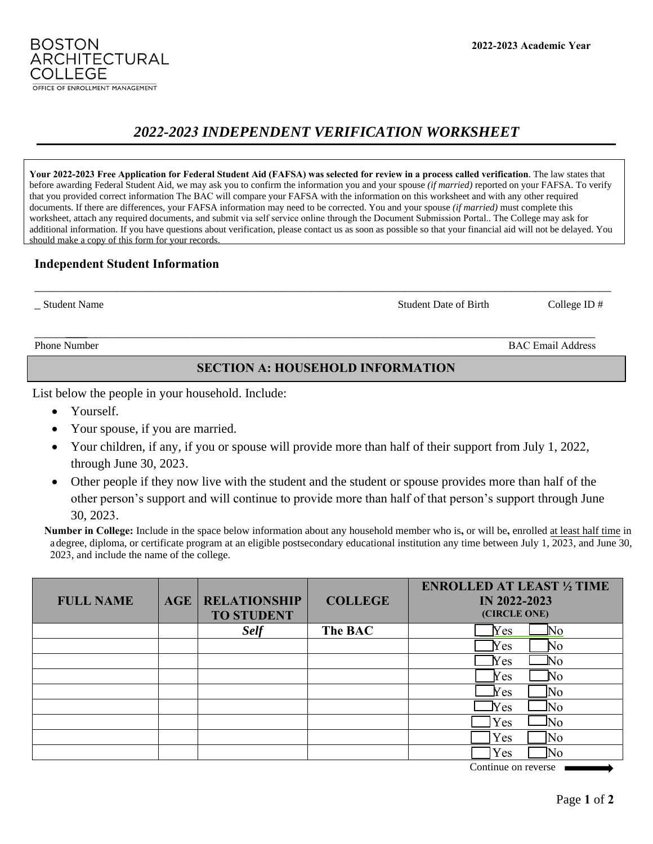#### **2022-2023 Academic Year**

# *2022-2023 INDEPENDENT VERIFICATION WORKSHEET*

**Your 2022-2023 Free Application for Federal Student Aid (FAFSA) was selected for review in a process called verification**. The law states that before awarding Federal Student Aid, we may ask you to confirm the information you and your spouse *(if married)* reported on your FAFSA. To verify that you provided correct information The BAC will compare your FAFSA with the information on this worksheet and with any other required documents. If there are differences, your FAFSA information may need to be corrected. You and your spouse *(if married)* must complete this worksheet, attach any required documents, and submit via self service online through the Document Submission Portal.. The College may ask for additional information. If you have questions about verification, please contact us as soon as possible so that your financial aid will not be delayed. You should make a copy of this form for your records.

\_\_\_\_\_\_\_\_\_\_\_\_\_\_\_\_\_\_\_\_\_\_\_\_\_\_\_\_\_\_\_\_\_\_\_\_\_\_\_\_\_\_\_\_\_\_\_\_\_\_\_\_\_\_\_\_\_\_\_\_\_\_\_\_\_\_\_\_\_\_\_\_\_\_\_\_\_\_\_\_\_\_\_\_\_\_\_\_\_\_\_\_\_\_\_\_\_\_

## **Independent Student Information**

**BOSTON** 

Phone Number BAC Email Address

## **SECTION A: HOUSEHOLD INFORMATION**

List below the people in your household. Include:

- Yourself.
- Your spouse, if you are married.
- Your children, if any, if you or spouse will provide more than half of their support from July 1, 2022, through June 30, 2023.
- Other people if they now live with the student and the student or spouse provides more than half of the other person's support and will continue to provide more than half of that person's support through June 30, 2023.

**Number in College:** Include in the space below information about any household member who is**,** or will be**,** enrolled at least half time in a degree, diploma, or certificate program at an eligible postsecondary educational institution any time between July 1, 2023, and June 30, 2023, and include the name of the college.

| <b>FULL NAME</b> | <b>AGE</b> | <b>RELATIONSHIP</b><br><b>TO STUDENT</b> | <b>COLLEGE</b> | <b>ENROLLED AT LEAST 1/2 TIME</b><br><b>IN 2022-2023</b><br>(CIRCLE ONE)                                                                                                             |
|------------------|------------|------------------------------------------|----------------|--------------------------------------------------------------------------------------------------------------------------------------------------------------------------------------|
|                  |            | <b>Self</b>                              | The BAC        | $\operatorname*{Yes}% \mathcal{M}_{0}=\operatorname*{Yes}% \mathcal{M}_{0}=\operatorname*{Yes}% \mathcal{M}_{0}=\operatorname*{Yes}% \mathcal{M}_{0}=\operatorname*{Ns}$<br>$\rm No$ |
|                  |            |                                          |                | Yes<br>No                                                                                                                                                                            |
|                  |            |                                          |                | $\rm Nes$<br>$N_{\Omega}$                                                                                                                                                            |
|                  |            |                                          |                | Yes<br>N٥                                                                                                                                                                            |
|                  |            |                                          |                | $\rm Yes$<br>No                                                                                                                                                                      |
|                  |            |                                          |                | <b>Nes</b><br>N٥                                                                                                                                                                     |
|                  |            |                                          |                | N٥<br>Yes                                                                                                                                                                            |
|                  |            |                                          |                | Yes<br>No                                                                                                                                                                            |
|                  |            |                                          |                | Yes<br>Ν٥                                                                                                                                                                            |

Continue on reverse ■



ARCHITECTURAL

\_ Student Name Student Date of BirthCollege ID #

\_\_\_\_\_\_\_\_\_ \_\_\_\_\_\_\_\_\_\_\_\_\_\_\_\_\_\_\_\_\_\_\_\_\_\_\_\_\_\_\_\_\_\_\_\_\_\_\_\_\_\_\_\_\_\_\_\_\_\_\_\_\_\_\_\_\_\_\_\_\_\_\_\_\_\_\_\_\_\_\_\_\_\_\_\_\_\_\_\_\_\_\_\_\_\_\_\_\_\_